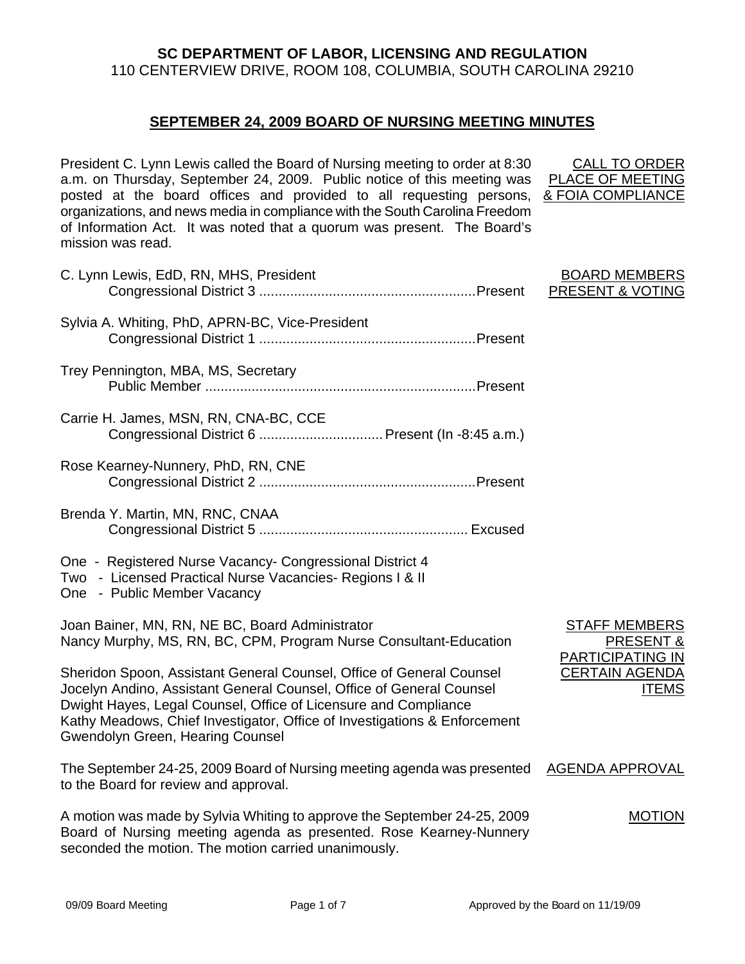# **SC DEPARTMENT OF LABOR, LICENSING AND REGULATION**  110 CENTERVIEW DRIVE, ROOM 108, COLUMBIA, SOUTH CAROLINA 29210

## **SEPTEMBER 24, 2009 BOARD OF NURSING MEETING MINUTES**

President C. Lynn Lewis called the Board of Nursing meeting to order at 8:30 a.m. on Thursday, September 24, 2009. Public notice of this meeting was posted at the board offices and provided to all requesting persons, & FOIA COMPLIANCE organizations, and news media in compliance with the South Carolina Freedom of Information Act. It was noted that a quorum was present. The Board's mission was read.

| C. Lynn Lewis, EdD, RN, MHS, President                                                                                                                                                                                                                                                                                                  | <b>BOARD MEMBERS</b><br><b>PRESENT &amp; VOTING</b>   |
|-----------------------------------------------------------------------------------------------------------------------------------------------------------------------------------------------------------------------------------------------------------------------------------------------------------------------------------------|-------------------------------------------------------|
| Sylvia A. Whiting, PhD, APRN-BC, Vice-President                                                                                                                                                                                                                                                                                         |                                                       |
| Trey Pennington, MBA, MS, Secretary                                                                                                                                                                                                                                                                                                     |                                                       |
| Carrie H. James, MSN, RN, CNA-BC, CCE<br>Congressional District 6  Present (In -8:45 a.m.)                                                                                                                                                                                                                                              |                                                       |
| Rose Kearney-Nunnery, PhD, RN, CNE                                                                                                                                                                                                                                                                                                      |                                                       |
| Brenda Y. Martin, MN, RNC, CNAA                                                                                                                                                                                                                                                                                                         |                                                       |
| One - Registered Nurse Vacancy- Congressional District 4<br>Two - Licensed Practical Nurse Vacancies- Regions I & II<br>One - Public Member Vacancy                                                                                                                                                                                     |                                                       |
| Joan Bainer, MN, RN, NE BC, Board Administrator<br>Nancy Murphy, MS, RN, BC, CPM, Program Nurse Consultant-Education                                                                                                                                                                                                                    | <b>STAFF MEMBERS</b><br>PRESENT &<br>PARTICIPATING IN |
| Sheridon Spoon, Assistant General Counsel, Office of General Counsel<br>Jocelyn Andino, Assistant General Counsel, Office of General Counsel<br>Dwight Hayes, Legal Counsel, Office of Licensure and Compliance<br>Kathy Meadows, Chief Investigator, Office of Investigations & Enforcement<br><b>Gwendolyn Green, Hearing Counsel</b> | <b>CERTAIN AGENDA</b><br><b>ITEMS</b>                 |
| The September 24-25, 2009 Board of Nursing meeting agenda was presented<br>to the Board for review and approval.                                                                                                                                                                                                                        | <b>AGENDA APPROVAL</b>                                |
| A motion was made by Sylvia Whiting to approve the September 24-25, 2009<br>Board of Nursing meeting agenda as presented. Rose Kearney-Nunnery<br>seconded the motion. The motion carried unanimously.                                                                                                                                  | <b>MOTION</b>                                         |

CALL TO ORDER PLACE OF MEETING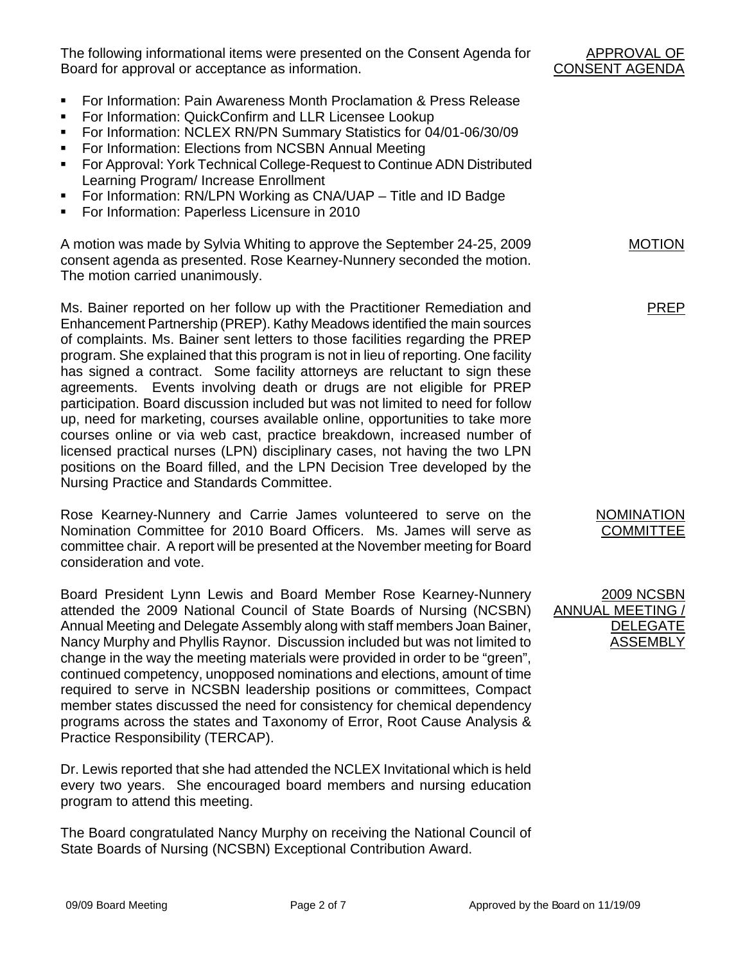The following informational items were presented on the Consent Agenda for Board for approval or acceptance as information.

- **For Information: Pain Awareness Month Proclamation & Press Release**
- For Information: QuickConfirm and LLR Licensee Lookup
- For Information: NCLEX RN/PN Summary Statistics for 04/01-06/30/09
- For Information: Elections from NCSBN Annual Meeting
- For Approval: York Technical College-Request to Continue ADN Distributed Learning Program/ Increase Enrollment
- For Information: RN/LPN Working as CNA/UAP Title and ID Badge
- For Information: Paperless Licensure in 2010

A motion was made by Sylvia Whiting to approve the September 24-25, 2009 consent agenda as presented. Rose Kearney-Nunnery seconded the motion. The motion carried unanimously.

Ms. Bainer reported on her follow up with the Practitioner Remediation and Enhancement Partnership (PREP). Kathy Meadows identified the main sources of complaints. Ms. Bainer sent letters to those facilities regarding the PREP program. She explained that this program is not in lieu of reporting. One facility has signed a contract. Some facility attorneys are reluctant to sign these agreements. Events involving death or drugs are not eligible for PREP participation. Board discussion included but was not limited to need for follow up, need for marketing, courses available online, opportunities to take more courses online or via web cast, practice breakdown, increased number of licensed practical nurses (LPN) disciplinary cases, not having the two LPN positions on the Board filled, and the LPN Decision Tree developed by the Nursing Practice and Standards Committee.

Rose Kearney-Nunnery and Carrie James volunteered to serve on the Nomination Committee for 2010 Board Officers. Ms. James will serve as committee chair. A report will be presented at the November meeting for Board consideration and vote.

Board President Lynn Lewis and Board Member Rose Kearney-Nunnery attended the 2009 National Council of State Boards of Nursing (NCSBN) Annual Meeting and Delegate Assembly along with staff members Joan Bainer, Nancy Murphy and Phyllis Raynor. Discussion included but was not limited to change in the way the meeting materials were provided in order to be "green", continued competency, unopposed nominations and elections, amount of time required to serve in NCSBN leadership positions or committees, Compact member states discussed the need for consistency for chemical dependency programs across the states and Taxonomy of Error, Root Cause Analysis & Practice Responsibility (TERCAP).

Dr. Lewis reported that she had attended the NCLEX Invitational which is held every two years. She encouraged board members and nursing education program to attend this meeting.

The Board congratulated Nancy Murphy on receiving the National Council of State Boards of Nursing (NCSBN) Exceptional Contribution Award.

APPROVAL OF CONSENT AGENDA

MOTION

PREP

NOMINATION **COMMITTEE** 

2009 NCSBN ANNUAL MEETING / DELEGATE ASSEMBLY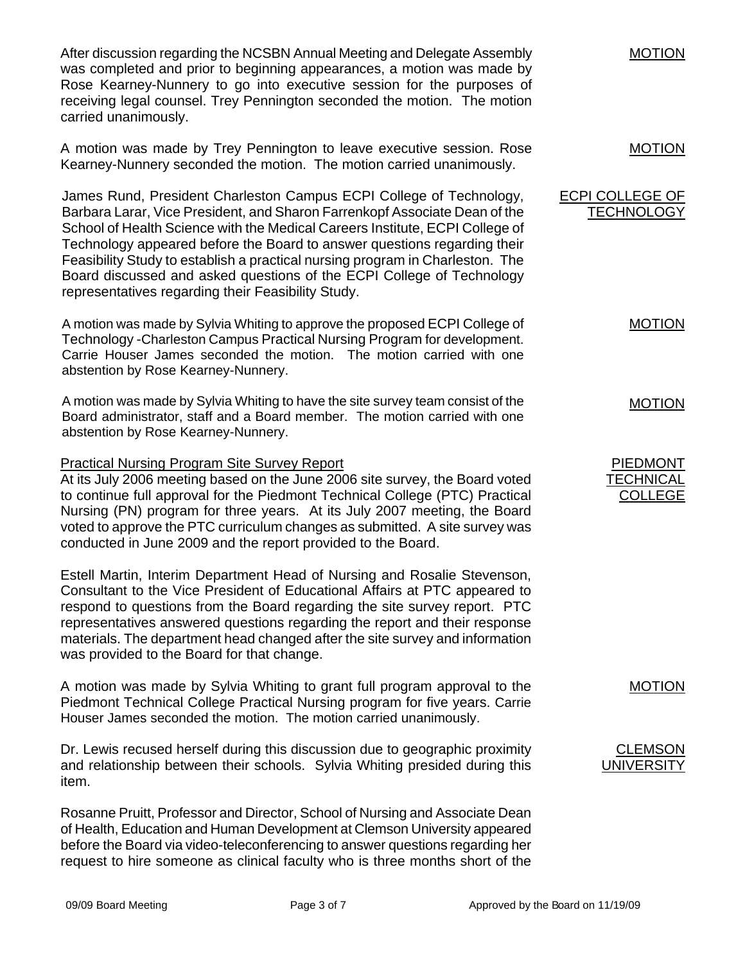After discussion regarding the NCSBN Annual Meeting and Delegate Assembly was completed and prior to beginning appearances, a motion was made by Rose Kearney-Nunnery to go into executive session for the purposes of receiving legal counsel. Trey Pennington seconded the motion. The motion carried unanimously.

A motion was made by Trey Pennington to leave executive session. Rose Kearney-Nunnery seconded the motion. The motion carried unanimously. MOTION

James Rund, President Charleston Campus ECPI College of Technology, Barbara Larar, Vice President, and Sharon Farrenkopf Associate Dean of the School of Health Science with the Medical Careers Institute, ECPI College of Technology appeared before the Board to answer questions regarding their Feasibility Study to establish a practical nursing program in Charleston. The Board discussed and asked questions of the ECPI College of Technology representatives regarding their Feasibility Study. **ECPI COLLEGE OF TECHNOLOGY** 

A motion was made by Sylvia Whiting to approve the proposed ECPI College of Technology -Charleston Campus Practical Nursing Program for development. Carrie Houser James seconded the motion. The motion carried with one abstention by Rose Kearney-Nunnery.

A motion was made by Sylvia Whiting to have the site survey team consist of the Board administrator, staff and a Board member. The motion carried with one abstention by Rose Kearney-Nunnery.

#### Practical Nursing Program Site Survey Report

At its July 2006 meeting based on the June 2006 site survey, the Board voted to continue full approval for the Piedmont Technical College (PTC) Practical Nursing (PN) program for three years. At its July 2007 meeting, the Board voted to approve the PTC curriculum changes as submitted. A site survey was conducted in June 2009 and the report provided to the Board.

Estell Martin, Interim Department Head of Nursing and Rosalie Stevenson, Consultant to the Vice President of Educational Affairs at PTC appeared to respond to questions from the Board regarding the site survey report. PTC representatives answered questions regarding the report and their response materials. The department head changed after the site survey and information was provided to the Board for that change.

A motion was made by Sylvia Whiting to grant full program approval to the Piedmont Technical College Practical Nursing program for five years. Carrie Houser James seconded the motion. The motion carried unanimously.

Dr. Lewis recused herself during this discussion due to geographic proximity and relationship between their schools. Sylvia Whiting presided during this item.

Rosanne Pruitt, Professor and Director, School of Nursing and Associate Dean of Health, Education and Human Development at Clemson University appeared before the Board via video-teleconferencing to answer questions regarding her request to hire someone as clinical faculty who is three months short of the

MOTION

MOTION

MOTION

PIEDMONT **TECHNICAL** COLLEGE

MOTION

**CLEMSON** UNIVERSITY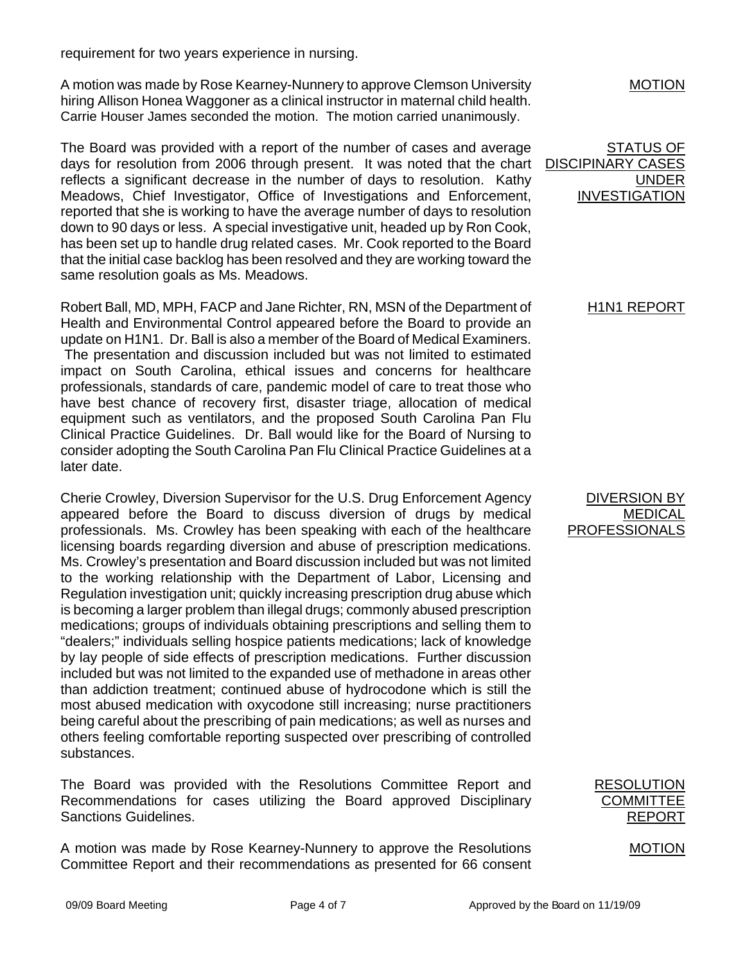requirement for two years experience in nursing.

A motion was made by Rose Kearney-Nunnery to approve Clemson University hiring Allison Honea Waggoner as a clinical instructor in maternal child health. Carrie Houser James seconded the motion. The motion carried unanimously.

The Board was provided with a report of the number of cases and average days for resolution from 2006 through present. It was noted that the chart reflects a significant decrease in the number of days to resolution. Kathy Meadows, Chief Investigator, Office of Investigations and Enforcement, reported that she is working to have the average number of days to resolution down to 90 days or less. A special investigative unit, headed up by Ron Cook, has been set up to handle drug related cases. Mr. Cook reported to the Board that the initial case backlog has been resolved and they are working toward the same resolution goals as Ms. Meadows.

Robert Ball, MD, MPH, FACP and Jane Richter, RN, MSN of the Department of Health and Environmental Control appeared before the Board to provide an update on H1N1. Dr. Ball is also a member of the Board of Medical Examiners. The presentation and discussion included but was not limited to estimated impact on South Carolina, ethical issues and concerns for healthcare professionals, standards of care, pandemic model of care to treat those who have best chance of recovery first, disaster triage, allocation of medical equipment such as ventilators, and the proposed South Carolina Pan Flu Clinical Practice Guidelines. Dr. Ball would like for the Board of Nursing to consider adopting the South Carolina Pan Flu Clinical Practice Guidelines at a later date.

Cherie Crowley, Diversion Supervisor for the U.S. Drug Enforcement Agency appeared before the Board to discuss diversion of drugs by medical professionals. Ms. Crowley has been speaking with each of the healthcare licensing boards regarding diversion and abuse of prescription medications. Ms. Crowley's presentation and Board discussion included but was not limited to the working relationship with the Department of Labor, Licensing and Regulation investigation unit; quickly increasing prescription drug abuse which is becoming a larger problem than illegal drugs; commonly abused prescription medications; groups of individuals obtaining prescriptions and selling them to "dealers;" individuals selling hospice patients medications; lack of knowledge by lay people of side effects of prescription medications. Further discussion included but was not limited to the expanded use of methadone in areas other than addiction treatment; continued abuse of hydrocodone which is still the most abused medication with oxycodone still increasing; nurse practitioners being careful about the prescribing of pain medications; as well as nurses and others feeling comfortable reporting suspected over prescribing of controlled substances.

The Board was provided with the Resolutions Committee Report and Recommendations for cases utilizing the Board approved Disciplinary Sanctions Guidelines.

A motion was made by Rose Kearney-Nunnery to approve the Resolutions Committee Report and their recommendations as presented for 66 consent MOTION

STATUS OF DISCIPINARY CASES UNDER INVESTIGATION

# **H1N1 REPORT**

DIVERSION BY MEDICAL PROFESSIONALS

> RESOLUTION **COMMITTEE** REPORT

> > MOTION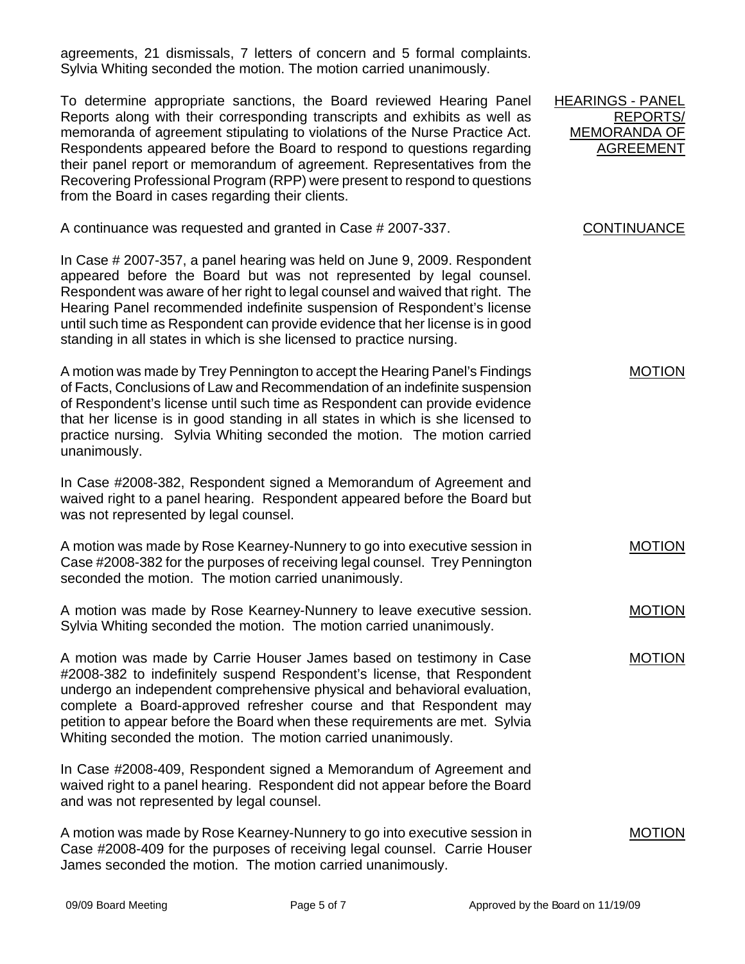agreements, 21 dismissals, 7 letters of concern and 5 formal complaints. Sylvia Whiting seconded the motion. The motion carried unanimously.

To determine appropriate sanctions, the Board reviewed Hearing Panel Reports along with their corresponding transcripts and exhibits as well as memoranda of agreement stipulating to violations of the Nurse Practice Act. Respondents appeared before the Board to respond to questions regarding their panel report or memorandum of agreement. Representatives from the Recovering Professional Program (RPP) were present to respond to questions from the Board in cases regarding their clients.

A continuance was requested and granted in Case # 2007-337.

In Case # 2007-357, a panel hearing was held on June 9, 2009. Respondent appeared before the Board but was not represented by legal counsel. Respondent was aware of her right to legal counsel and waived that right. The Hearing Panel recommended indefinite suspension of Respondent's license until such time as Respondent can provide evidence that her license is in good standing in all states in which is she licensed to practice nursing.

A motion was made by Trey Pennington to accept the Hearing Panel's Findings of Facts, Conclusions of Law and Recommendation of an indefinite suspension of Respondent's license until such time as Respondent can provide evidence that her license is in good standing in all states in which is she licensed to practice nursing. Sylvia Whiting seconded the motion. The motion carried unanimously.

In Case #2008-382, Respondent signed a Memorandum of Agreement and waived right to a panel hearing. Respondent appeared before the Board but was not represented by legal counsel.

A motion was made by Rose Kearney-Nunnery to go into executive session in Case #2008-382 for the purposes of receiving legal counsel. Trey Pennington seconded the motion. The motion carried unanimously.

A motion was made by Rose Kearney-Nunnery to leave executive session. Sylvia Whiting seconded the motion. The motion carried unanimously.

A motion was made by Carrie Houser James based on testimony in Case #2008-382 to indefinitely suspend Respondent's license, that Respondent undergo an independent comprehensive physical and behavioral evaluation, complete a Board-approved refresher course and that Respondent may petition to appear before the Board when these requirements are met. Sylvia Whiting seconded the motion. The motion carried unanimously.

In Case #2008-409, Respondent signed a Memorandum of Agreement and waived right to a panel hearing. Respondent did not appear before the Board and was not represented by legal counsel.

A motion was made by Rose Kearney-Nunnery to go into executive session in Case #2008-409 for the purposes of receiving legal counsel. Carrie Houser James seconded the motion. The motion carried unanimously.

HEARINGS - PANEL REPORTS/ MEMORANDA OF AGREEMENT

## **CONTINUANCE**

MOTION

MOTION

MOTION

MOTION

MOTION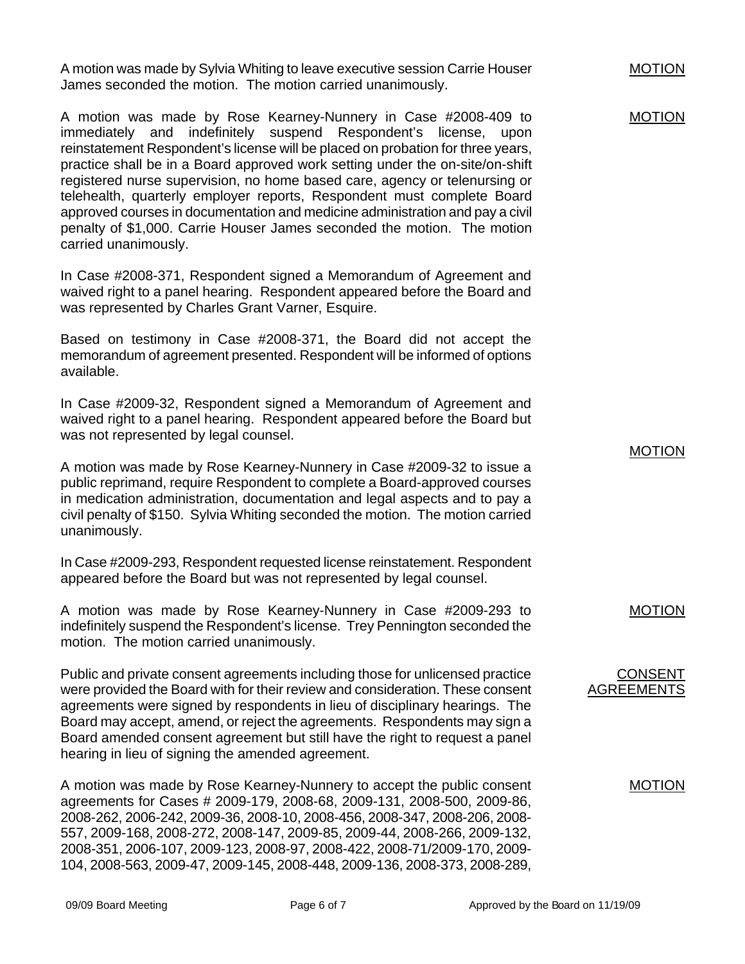A motion was made by Sylvia Whiting to leave executive session Carrie Houser James seconded the motion. The motion carried unanimously.

A motion was made by Rose Kearney-Nunnery in Case #2008-409 to immediately and indefinitely suspend Respondent's license, upon reinstatement Respondent's license will be placed on probation for three years, practice shall be in a Board approved work setting under the on-site/on-shift registered nurse supervision, no home based care, agency or telenursing or telehealth, quarterly employer reports, Respondent must complete Board approved courses in documentation and medicine administration and pay a civil penalty of \$1,000. Carrie Houser James seconded the motion. The motion carried unanimously.

In Case #2008-371, Respondent signed a Memorandum of Agreement and waived right to a panel hearing. Respondent appeared before the Board and was represented by Charles Grant Varner, Esquire.

Based on testimony in Case #2008-371, the Board did not accept the memorandum of agreement presented. Respondent will be informed of options available.

In Case #2009-32, Respondent signed a Memorandum of Agreement and waived right to a panel hearing. Respondent appeared before the Board but was not represented by legal counsel.

A motion was made by Rose Kearney-Nunnery in Case #2009-32 to issue a public reprimand, require Respondent to complete a Board-approved courses in medication administration, documentation and legal aspects and to pay a civil penalty of \$150. Sylvia Whiting seconded the motion. The motion carried unanimously.

In Case #2009-293, Respondent requested license reinstatement. Respondent appeared before the Board but was not represented by legal counsel.

A motion was made by Rose Kearney-Nunnery in Case #2009-293 to indefinitely suspend the Respondent's license. Trey Pennington seconded the motion. The motion carried unanimously.

Public and private consent agreements including those for unlicensed practice were provided the Board with for their review and consideration. These consent agreements were signed by respondents in lieu of disciplinary hearings. The Board may accept, amend, or reject the agreements. Respondents may sign a Board amended consent agreement but still have the right to request a panel hearing in lieu of signing the amended agreement.

A motion was made by Rose Kearney-Nunnery to accept the public consent agreements for Cases # 2009-179, 2008-68, 2009-131, 2008-500, 2009-86, 2008-262, 2006-242, 2009-36, 2008-10, 2008-456, 2008-347, 2008-206, 2008- 557, 2009-168, 2008-272, 2008-147, 2009-85, 2009-44, 2008-266, 2009-132, 2008-351, 2006-107, 2009-123, 2008-97, 2008-422, 2008-71/2009-170, 2009- 104, 2008-563, 2009-47, 2009-145, 2008-448, 2009-136, 2008-373, 2008-289,

MOTION

MOTION

MOTION

MOTION

#### CONSENT AGREEMENTS

MOTION